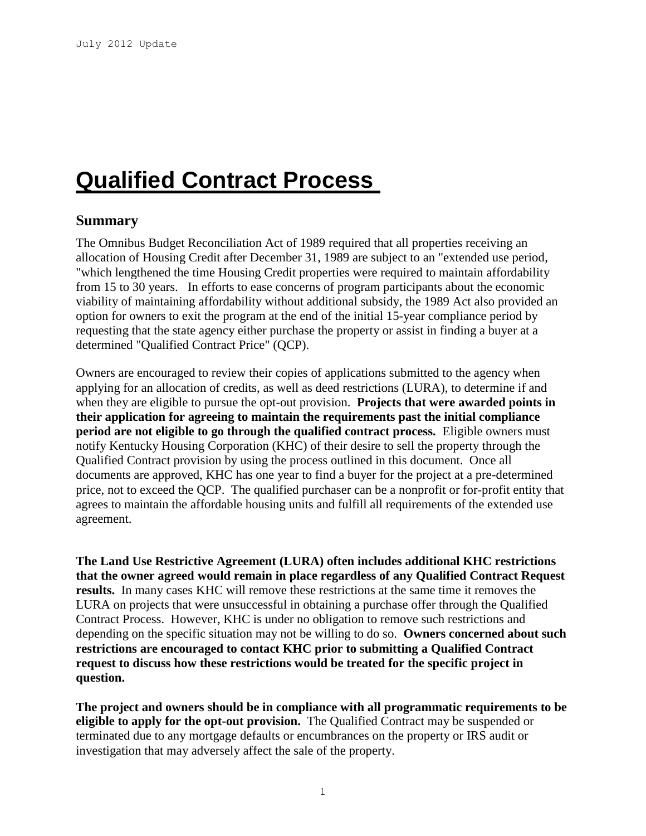# **Qualified Contract Process**

## **Summary**

The Omnibus Budget Reconciliation Act of 1989 required that all properties receiving an allocation of Housing Credit after December 31, 1989 are subject to an "extended use period, "which lengthened the time Housing Credit properties were required to maintain affordability from 15 to 30 years. In efforts to ease concerns of program participants about the economic viability of maintaining affordability without additional subsidy, the 1989 Act also provided an option for owners to exit the program at the end of the initial 15-year compliance period by requesting that the state agency either purchase the property or assist in finding a buyer at a determined "Qualified Contract Price" (QCP).

Owners are encouraged to review their copies of applications submitted to the agency when applying for an allocation of credits, as well as deed restrictions (LURA), to determine if and when they are eligible to pursue the opt-out provision. **Projects that were awarded points in their application for agreeing to maintain the requirements past the initial compliance period are not eligible to go through the qualified contract process.** Eligible owners must notify Kentucky Housing Corporation (KHC) of their desire to sell the property through the Qualified Contract provision by using the process outlined in this document. Once all documents are approved, KHC has one year to find a buyer for the project at a pre-determined price, not to exceed the QCP. The qualified purchaser can be a nonprofit or for-profit entity that agrees to maintain the affordable housing units and fulfill all requirements of the extended use agreement.

**The Land Use Restrictive Agreement (LURA) often includes additional KHC restrictions that the owner agreed would remain in place regardless of any Qualified Contract Request results.** In many cases KHC will remove these restrictions at the same time it removes the LURA on projects that were unsuccessful in obtaining a purchase offer through the Qualified Contract Process.However, KHC is under no obligation to remove such restrictions and depending on the specific situation may not be willing to do so. **Owners concerned about such restrictions are encouraged to contact KHC prior to submitting a Qualified Contract request to discuss how these restrictions would be treated for the specific project in question.** 

**The project and owners should be in compliance with all programmatic requirements to be eligible to apply for the opt-out provision.** The Qualified Contract may be suspended or terminated due to any mortgage defaults or encumbrances on the property or IRS audit or investigation that may adversely affect the sale of the property.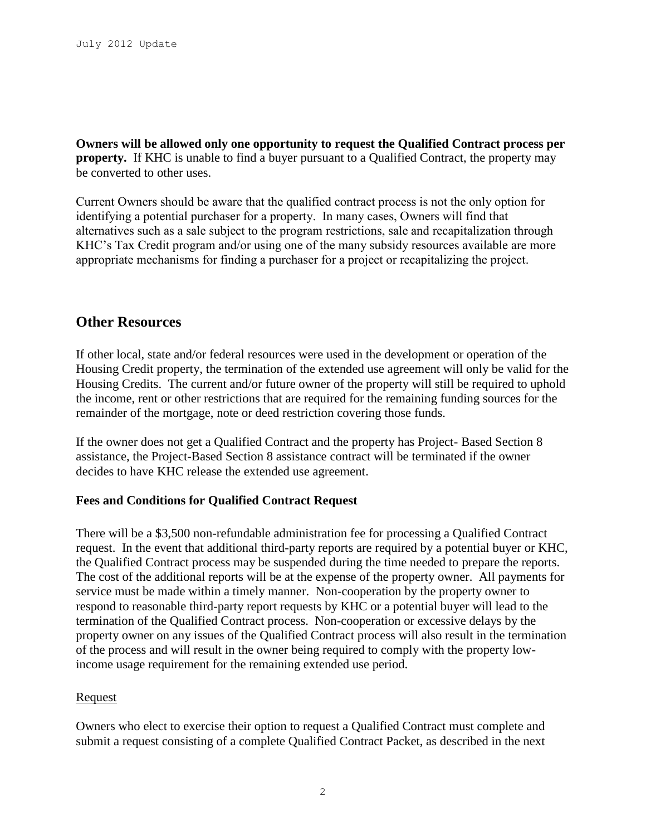**Owners will be allowed only one opportunity to request the Qualified Contract process per property.** If KHC is unable to find a buyer pursuant to a Qualified Contract, the property may be converted to other uses.

Current Owners should be aware that the qualified contract process is not the only option for identifying a potential purchaser for a property. In many cases, Owners will find that alternatives such as a sale subject to the program restrictions, sale and recapitalization through KHC's Tax Credit program and/or using one of the many subsidy resources available are more appropriate mechanisms for finding a purchaser for a project or recapitalizing the project.

## **Other Resources**

If other local, state and/or federal resources were used in the development or operation of the Housing Credit property, the termination of the extended use agreement will only be valid for the Housing Credits. The current and/or future owner of the property will still be required to uphold the income, rent or other restrictions that are required for the remaining funding sources for the remainder of the mortgage, note or deed restriction covering those funds.

If the owner does not get a Qualified Contract and the property has Project- Based Section 8 assistance, the Project-Based Section 8 assistance contract will be terminated if the owner decides to have KHC release the extended use agreement.

## **Fees and Conditions for Qualified Contract Request**

There will be a \$3,500 non-refundable administration fee for processing a Qualified Contract request. In the event that additional third-party reports are required by a potential buyer or KHC, the Qualified Contract process may be suspended during the time needed to prepare the reports. The cost of the additional reports will be at the expense of the property owner. All payments for service must be made within a timely manner. Non-cooperation by the property owner to respond to reasonable third-party report requests by KHC or a potential buyer will lead to the termination of the Qualified Contract process. Non-cooperation or excessive delays by the property owner on any issues of the Qualified Contract process will also result in the termination of the process and will result in the owner being required to comply with the property lowincome usage requirement for the remaining extended use period.

#### Request

Owners who elect to exercise their option to request a Qualified Contract must complete and submit a request consisting of a complete Qualified Contract Packet, as described in the next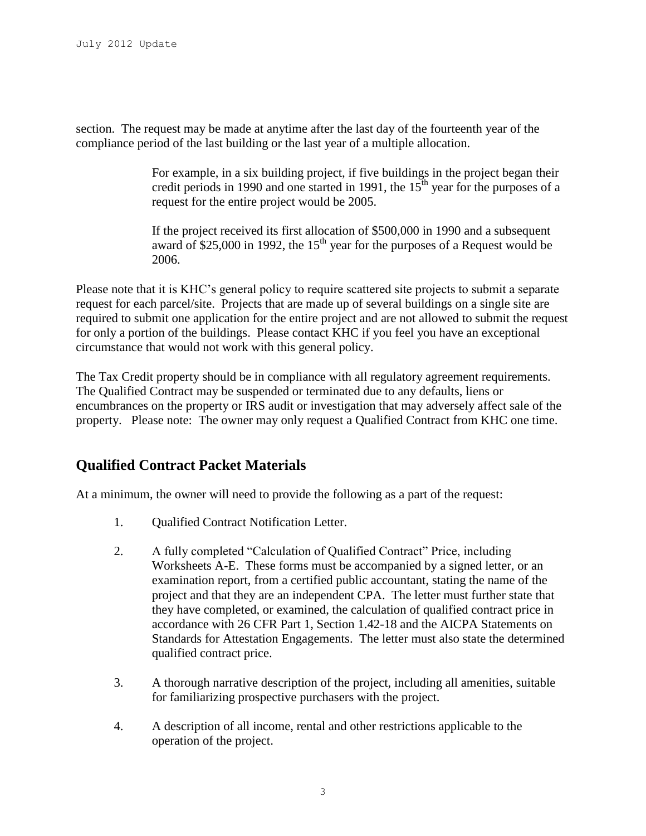section. The request may be made at anytime after the last day of the fourteenth year of the compliance period of the last building or the last year of a multiple allocation.

> For example, in a six building project, if five buildings in the project began their credit periods in 1990 and one started in 1991, the  $15<sup>th</sup>$  year for the purposes of a request for the entire project would be 2005.

If the project received its first allocation of \$500,000 in 1990 and a subsequent award of \$25,000 in 1992, the 15<sup>th</sup> year for the purposes of a Request would be 2006.

Please note that it is KHC's general policy to require scattered site projects to submit a separate request for each parcel/site. Projects that are made up of several buildings on a single site are required to submit one application for the entire project and are not allowed to submit the request for only a portion of the buildings. Please contact KHC if you feel you have an exceptional circumstance that would not work with this general policy.

The Tax Credit property should be in compliance with all regulatory agreement requirements. The Qualified Contract may be suspended or terminated due to any defaults, liens or encumbrances on the property or IRS audit or investigation that may adversely affect sale of the property. Please note: The owner may only request a Qualified Contract from KHC one time.

# **Qualified Contract Packet Materials**

At a minimum, the owner will need to provide the following as a part of the request:

- 1. Qualified Contract Notification Letter.
- 2. A fully completed "Calculation of Qualified Contract" Price, including Worksheets A-E. These forms must be accompanied by a signed letter, or an examination report, from a certified public accountant, stating the name of the project and that they are an independent CPA. The letter must further state that they have completed, or examined, the calculation of qualified contract price in accordance with 26 CFR Part 1, Section 1.42-18 and the AICPA Statements on Standards for Attestation Engagements. The letter must also state the determined qualified contract price.
- 3. A thorough narrative description of the project, including all amenities, suitable for familiarizing prospective purchasers with the project.
- 4. A description of all income, rental and other restrictions applicable to the operation of the project.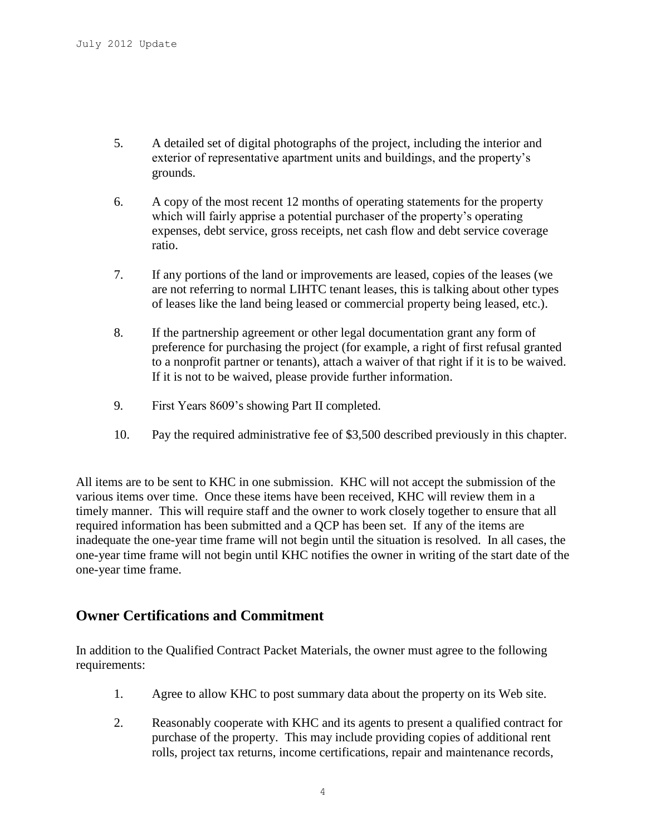- 5. A detailed set of digital photographs of the project, including the interior and exterior of representative apartment units and buildings, and the property's grounds.
- 6. A copy of the most recent 12 months of operating statements for the property which will fairly apprise a potential purchaser of the property's operating expenses, debt service, gross receipts, net cash flow and debt service coverage ratio.
- 7. If any portions of the land or improvements are leased, copies of the leases (we are not referring to normal LIHTC tenant leases, this is talking about other types of leases like the land being leased or commercial property being leased, etc.).
- 8. If the partnership agreement or other legal documentation grant any form of preference for purchasing the project (for example, a right of first refusal granted to a nonprofit partner or tenants), attach a waiver of that right if it is to be waived. If it is not to be waived, please provide further information.
- 9. First Years 8609's showing Part II completed.
- 10. Pay the required administrative fee of \$3,500 described previously in this chapter.

All items are to be sent to KHC in one submission. KHC will not accept the submission of the various items over time. Once these items have been received, KHC will review them in a timely manner. This will require staff and the owner to work closely together to ensure that all required information has been submitted and a QCP has been set. If any of the items are inadequate the one-year time frame will not begin until the situation is resolved. In all cases, the one-year time frame will not begin until KHC notifies the owner in writing of the start date of the one-year time frame.

## **Owner Certifications and Commitment**

In addition to the Qualified Contract Packet Materials, the owner must agree to the following requirements:

- 1. Agree to allow KHC to post summary data about the property on its Web site.
- 2. Reasonably cooperate with KHC and its agents to present a qualified contract for purchase of the property. This may include providing copies of additional rent rolls, project tax returns, income certifications, repair and maintenance records,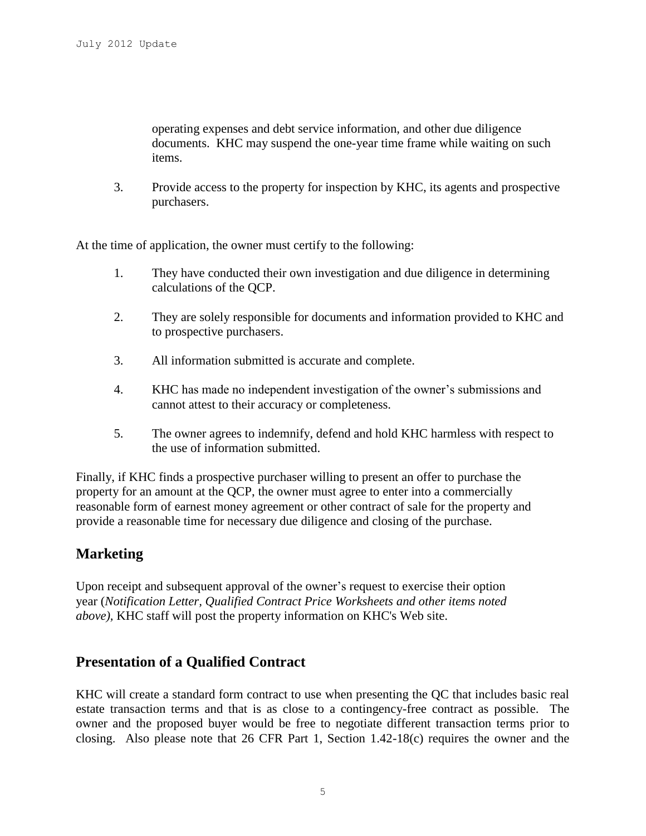operating expenses and debt service information, and other due diligence documents. KHC may suspend the one-year time frame while waiting on such items.

3. Provide access to the property for inspection by KHC, its agents and prospective purchasers.

At the time of application, the owner must certify to the following:

- 1. They have conducted their own investigation and due diligence in determining calculations of the QCP.
- 2. They are solely responsible for documents and information provided to KHC and to prospective purchasers.
- 3. All information submitted is accurate and complete.
- 4. KHC has made no independent investigation of the owner's submissions and cannot attest to their accuracy or completeness.
- 5. The owner agrees to indemnify, defend and hold KHC harmless with respect to the use of information submitted.

Finally, if KHC finds a prospective purchaser willing to present an offer to purchase the property for an amount at the QCP, the owner must agree to enter into a commercially reasonable form of earnest money agreement or other contract of sale for the property and provide a reasonable time for necessary due diligence and closing of the purchase.

# **Marketing**

Upon receipt and subsequent approval of the owner's request to exercise their option year (*Notification Letter, Qualified Contract Price Worksheets and other items noted above),* KHC staff will post the property information on KHC's Web site.

# **Presentation of a Qualified Contract**

KHC will create a standard form contract to use when presenting the QC that includes basic real estate transaction terms and that is as close to a contingency-free contract as possible. The owner and the proposed buyer would be free to negotiate different transaction terms prior to closing. Also please note that 26 CFR Part 1, Section 1.42-18(c) requires the owner and the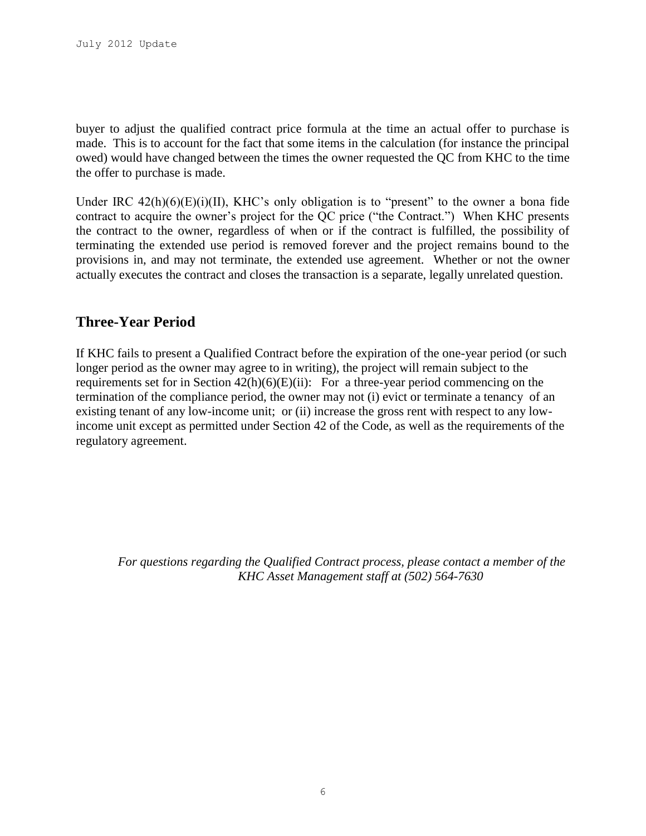buyer to adjust the qualified contract price formula at the time an actual offer to purchase is made. This is to account for the fact that some items in the calculation (for instance the principal owed) would have changed between the times the owner requested the QC from KHC to the time the offer to purchase is made.

Under IRC  $42(h)(6)(E)(i)(II)$ , KHC's only obligation is to "present" to the owner a bona fide contract to acquire the owner's project for the QC price ("the Contract.") When KHC presents the contract to the owner, regardless of when or if the contract is fulfilled, the possibility of terminating the extended use period is removed forever and the project remains bound to the provisions in, and may not terminate, the extended use agreement. Whether or not the owner actually executes the contract and closes the transaction is a separate, legally unrelated question.

# **Three-Year Period**

If KHC fails to present a Qualified Contract before the expiration of the one-year period (or such longer period as the owner may agree to in writing), the project will remain subject to the requirements set for in Section  $42(h)(6)(E)(ii)$ : For a three-year period commencing on the termination of the compliance period, the owner may not (i) evict or terminate a tenancy of an existing tenant of any low-income unit; or (ii) increase the gross rent with respect to any lowincome unit except as permitted under Section 42 of the Code, as well as the requirements of the regulatory agreement.

*For questions regarding the Qualified Contract process, please contact a member of the KHC Asset Management staff at (502) 564-7630*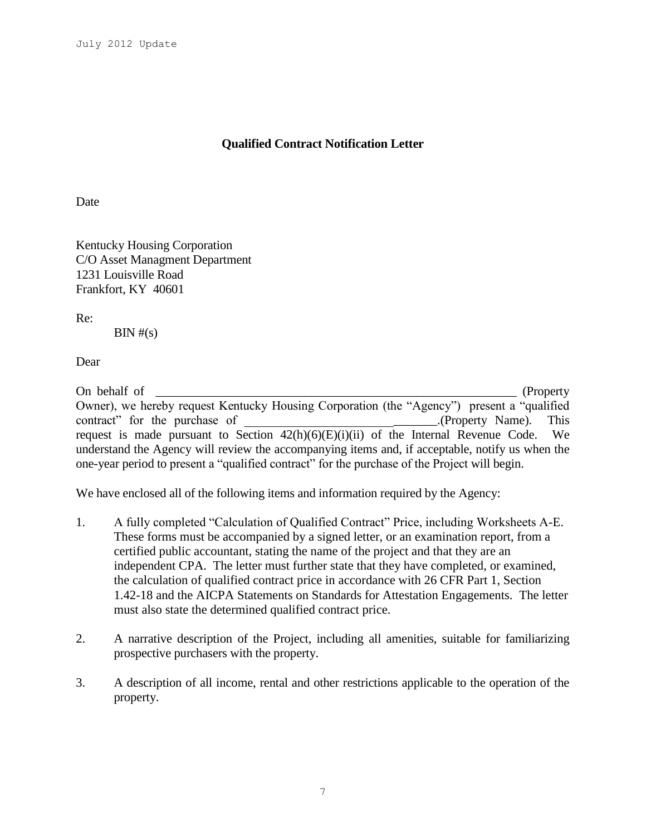## **Qualified Contract Notification Letter**

Date

Kentucky Housing Corporation C/O Asset Managment Department 1231 Louisville Road Frankfort, KY 40601

Re:

 $\text{BIN } \#(\text{s})$ 

Dear

On behalf of \_\_\_\_\_\_\_\_\_\_\_\_\_\_\_\_\_\_\_\_\_\_\_\_\_\_\_\_\_\_\_\_\_\_\_\_\_\_\_\_\_\_\_\_\_\_\_\_\_\_\_\_\_\_\_\_\_\_ (Property Owner), we hereby request Kentucky Housing Corporation (the "Agency") present a "qualified contract" for the purchase of  $\blacksquare$  (Property Name). This request is made pursuant to Section  $42(h)(6)(E)(i)(ii)$  of the Internal Revenue Code. We understand the Agency will review the accompanying items and, if acceptable, notify us when the one-year period to present a "qualified contract" for the purchase of the Project will begin.

We have enclosed all of the following items and information required by the Agency:

- 1. A fully completed "Calculation of Qualified Contract" Price, including Worksheets A-E. These forms must be accompanied by a signed letter, or an examination report, from a certified public accountant, stating the name of the project and that they are an independent CPA. The letter must further state that they have completed, or examined, the calculation of qualified contract price in accordance with 26 CFR Part 1, Section 1.42-18 and the AICPA Statements on Standards for Attestation Engagements. The letter must also state the determined qualified contract price.
- 2. A narrative description of the Project, including all amenities, suitable for familiarizing prospective purchasers with the property.
- 3. A description of all income, rental and other restrictions applicable to the operation of the property.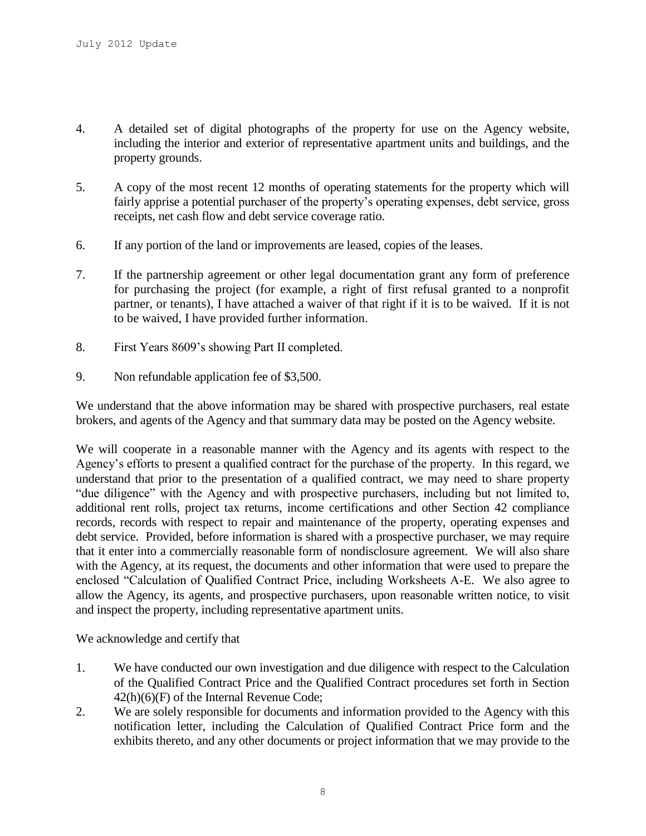- 4. A detailed set of digital photographs of the property for use on the Agency website, including the interior and exterior of representative apartment units and buildings, and the property grounds.
- 5. A copy of the most recent 12 months of operating statements for the property which will fairly apprise a potential purchaser of the property's operating expenses, debt service, gross receipts, net cash flow and debt service coverage ratio.
- 6. If any portion of the land or improvements are leased, copies of the leases.
- 7. If the partnership agreement or other legal documentation grant any form of preference for purchasing the project (for example, a right of first refusal granted to a nonprofit partner, or tenants), I have attached a waiver of that right if it is to be waived. If it is not to be waived, I have provided further information.
- 8. First Years 8609's showing Part II completed.
- 9. Non refundable application fee of \$3,500.

We understand that the above information may be shared with prospective purchasers, real estate brokers, and agents of the Agency and that summary data may be posted on the Agency website.

We will cooperate in a reasonable manner with the Agency and its agents with respect to the Agency's efforts to present a qualified contract for the purchase of the property. In this regard, we understand that prior to the presentation of a qualified contract, we may need to share property "due diligence" with the Agency and with prospective purchasers, including but not limited to, additional rent rolls, project tax returns, income certifications and other Section 42 compliance records, records with respect to repair and maintenance of the property, operating expenses and debt service. Provided, before information is shared with a prospective purchaser, we may require that it enter into a commercially reasonable form of nondisclosure agreement. We will also share with the Agency, at its request, the documents and other information that were used to prepare the enclosed "Calculation of Qualified Contract Price, including Worksheets A-E. We also agree to allow the Agency, its agents, and prospective purchasers, upon reasonable written notice, to visit and inspect the property, including representative apartment units.

We acknowledge and certify that

- 1. We have conducted our own investigation and due diligence with respect to the Calculation of the Qualified Contract Price and the Qualified Contract procedures set forth in Section 42(h)(6)(F) of the Internal Revenue Code;
- 2. We are solely responsible for documents and information provided to the Agency with this notification letter, including the Calculation of Qualified Contract Price form and the exhibits thereto, and any other documents or project information that we may provide to the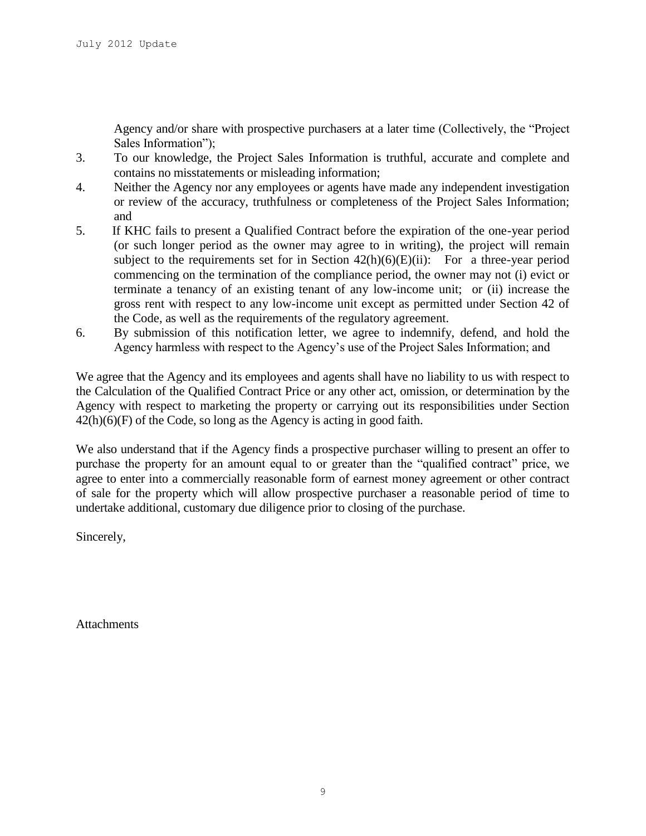Agency and/or share with prospective purchasers at a later time (Collectively, the "Project Sales Information");

- 3. To our knowledge, the Project Sales Information is truthful, accurate and complete and contains no misstatements or misleading information;
- 4. Neither the Agency nor any employees or agents have made any independent investigation or review of the accuracy, truthfulness or completeness of the Project Sales Information; and
- 5. If KHC fails to present a Qualified Contract before the expiration of the one-year period (or such longer period as the owner may agree to in writing), the project will remain subject to the requirements set for in Section  $42(h)(6)(E)(ii)$ : For a three-year period commencing on the termination of the compliance period, the owner may not (i) evict or terminate a tenancy of an existing tenant of any low-income unit; or (ii) increase the gross rent with respect to any low-income unit except as permitted under Section 42 of the Code, as well as the requirements of the regulatory agreement.
- 6. By submission of this notification letter, we agree to indemnify, defend, and hold the Agency harmless with respect to the Agency's use of the Project Sales Information; and

We agree that the Agency and its employees and agents shall have no liability to us with respect to the Calculation of the Qualified Contract Price or any other act, omission, or determination by the Agency with respect to marketing the property or carrying out its responsibilities under Section 42(h)(6)(F) of the Code, so long as the Agency is acting in good faith.

We also understand that if the Agency finds a prospective purchaser willing to present an offer to purchase the property for an amount equal to or greater than the "qualified contract" price, we agree to enter into a commercially reasonable form of earnest money agreement or other contract of sale for the property which will allow prospective purchaser a reasonable period of time to undertake additional, customary due diligence prior to closing of the purchase.

Sincerely,

**Attachments**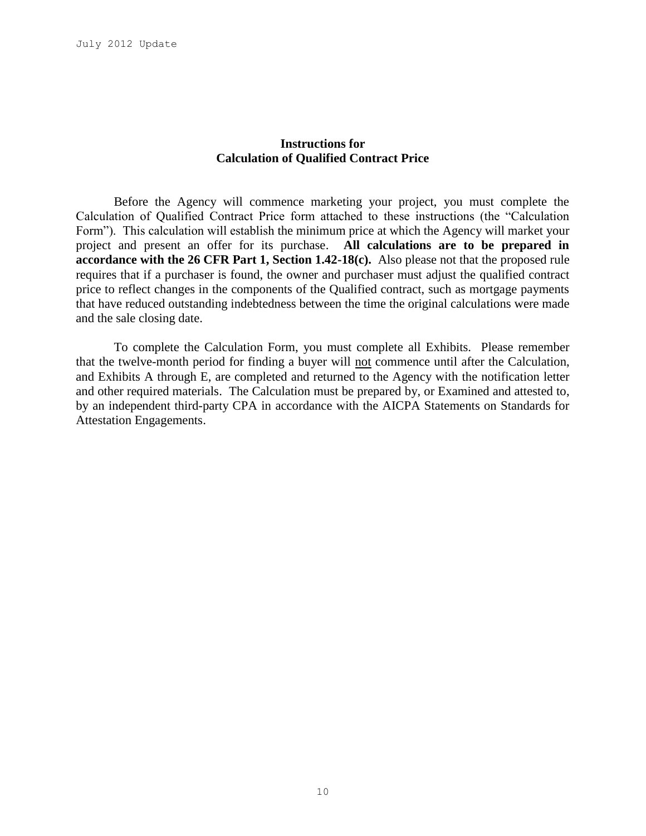## **Instructions for Calculation of Qualified Contract Price**

Before the Agency will commence marketing your project, you must complete the Calculation of Qualified Contract Price form attached to these instructions (the "Calculation Form"). This calculation will establish the minimum price at which the Agency will market your project and present an offer for its purchase. **All calculations are to be prepared in accordance with the 26 CFR Part 1, Section 1.42-18(c).** Also please not that the proposed rule requires that if a purchaser is found, the owner and purchaser must adjust the qualified contract price to reflect changes in the components of the Qualified contract, such as mortgage payments that have reduced outstanding indebtedness between the time the original calculations were made and the sale closing date.

To complete the Calculation Form, you must complete all Exhibits. Please remember that the twelve-month period for finding a buyer will not commence until after the Calculation, and Exhibits A through E, are completed and returned to the Agency with the notification letter and other required materials. The Calculation must be prepared by, or Examined and attested to, by an independent third-party CPA in accordance with the AICPA Statements on Standards for Attestation Engagements.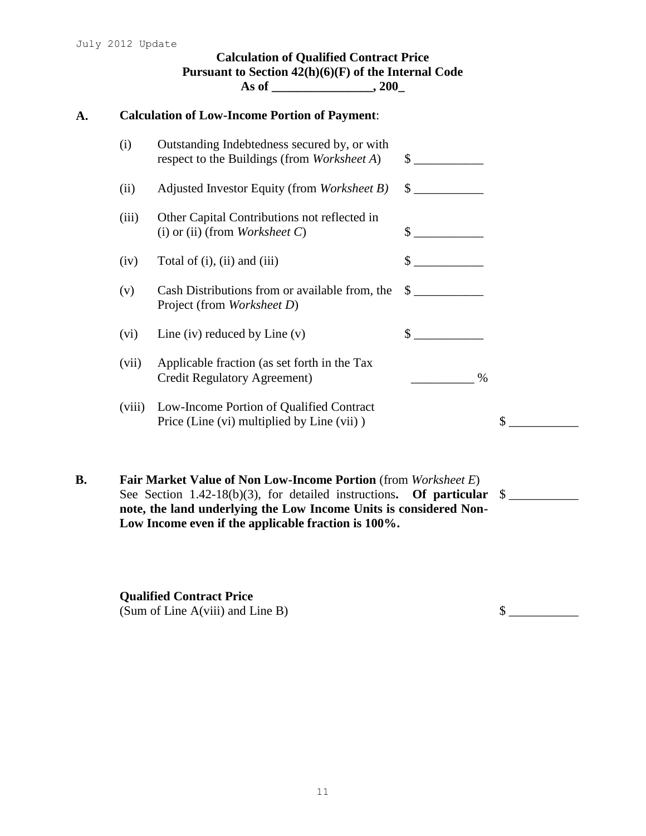| <b>Calculation of Low-Income Portion of Payment:</b> |                                                                                             |                             |  |
|------------------------------------------------------|---------------------------------------------------------------------------------------------|-----------------------------|--|
| (i)                                                  | Outstanding Indebtedness secured by, or with<br>respect to the Buildings (from Worksheet A) | $\sim$                      |  |
| (ii)                                                 | Adjusted Investor Equity (from Worksheet B)                                                 | $\frac{\text{S}}{\text{S}}$ |  |
| (iii)                                                | Other Capital Contributions not reflected in<br>(i) or (ii) (from <i>Worksheet C</i> )      | $\sim$                      |  |
| (iv)                                                 | Total of (i), (ii) and (iii)                                                                | $\frac{1}{1}$               |  |
| (v)                                                  | Cash Distributions from or available from, the<br>Project (from Worksheet D)                | $\sim$                      |  |
| (vi)                                                 | Line (iv) reduced by Line $(v)$                                                             | $\mathbb{S}$                |  |
| (vii)                                                | Applicable fraction (as set forth in the Tax<br><b>Credit Regulatory Agreement)</b>         | $\%$                        |  |
| (viii)                                               | Low-Income Portion of Qualified Contract<br>Price (Line (vi) multiplied by Line (vii))      | \$                          |  |

See Section 1.42-18(b)(3), for detailed instructions. Of particular \$ **note, the land underlying the Low Income Units is considered Non-Low Income even if the applicable fraction is 100%.**

**Qualified Contract Price** (Sum of Line A(viii) and Line B)  $\qquad \qquad$   $\qquad \qquad$   $\qquad \qquad$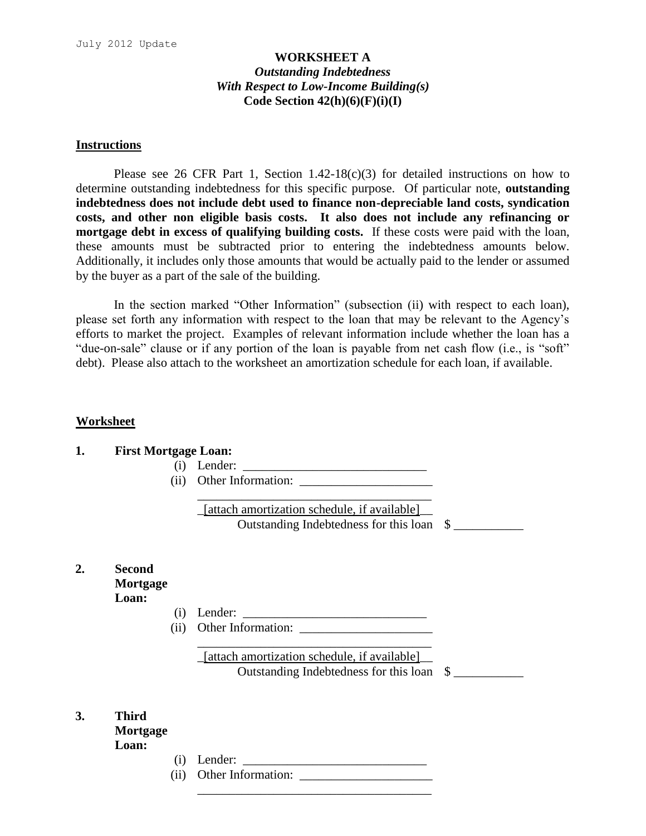## **WORKSHEET A** *Outstanding Indebtedness With Respect to Low-Income Building(s)* **Code Section 42(h)(6)(F)(i)(I)**

#### **Instructions**

Please see 26 CFR Part 1, Section 1.42-18(c)(3) for detailed instructions on how to determine outstanding indebtedness for this specific purpose. Of particular note, **outstanding indebtedness does not include debt used to finance non-depreciable land costs, syndication costs, and other non eligible basis costs. It also does not include any refinancing or mortgage debt in excess of qualifying building costs.** If these costs were paid with the loan, these amounts must be subtracted prior to entering the indebtedness amounts below. Additionally, it includes only those amounts that would be actually paid to the lender or assumed by the buyer as a part of the sale of the building.

In the section marked "Other Information" (subsection (ii) with respect to each loan), please set forth any information with respect to the loan that may be relevant to the Agency's efforts to market the project. Examples of relevant information include whether the loan has a "due-on-sale" clause or if any portion of the loan is payable from net cash flow (i.e., is "soft" debt). Please also attach to the worksheet an amortization schedule for each loan, if available.

#### **Worksheet**

 $2.$ 

**3. Third** 

| 1. | <b>First Mortgage Loan:</b>        |                            |                                                                                           |  |
|----|------------------------------------|----------------------------|-------------------------------------------------------------------------------------------|--|
|    |                                    | (i)                        | Lender:                                                                                   |  |
|    |                                    | (ii)                       | Other Information:                                                                        |  |
|    |                                    |                            | [attach amortization schedule, if available]<br>Outstanding Indebtedness for this loan \$ |  |
| 2. | <b>Second</b><br>Mortgage<br>Loan: |                            |                                                                                           |  |
|    |                                    | $\left( 1 \right)$<br>(ii) | Lender:<br>Other Information:                                                             |  |
|    |                                    |                            | [attach amortization schedule, if available]<br>Outstanding Indebtedness for this loan \$ |  |
| 3. | <b>Third</b><br>Mortgage<br>Loan:  |                            |                                                                                           |  |
|    |                                    | $\left( 1\right)$          |                                                                                           |  |
|    |                                    |                            | $\alpha$ and $\alpha$ and $\alpha$ and $\alpha$ and $\alpha$                              |  |

\_\_\_\_\_\_\_\_\_\_\_\_\_\_\_\_\_\_\_\_\_\_\_\_\_\_\_\_\_\_\_\_\_\_\_\_\_

 $(ii)$  Other Information:  $\frac{1}{\sqrt{1-\frac{1}{2}}}\left| \int_{0}^{\pi} 1_{0}^{x} \, dx \right|$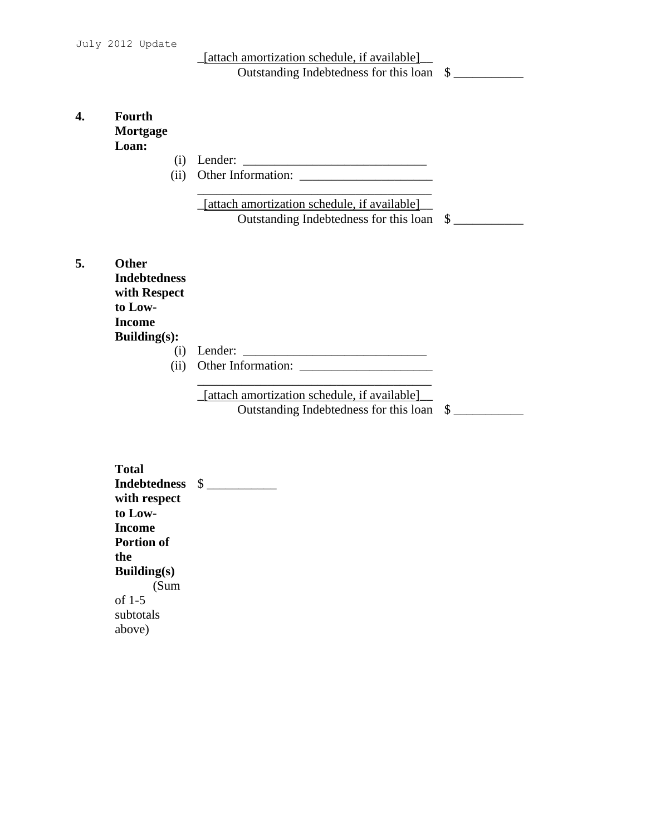\_[attach amortization schedule, if available]\_\_ Outstanding Indebtedness for this loan \$ \_\_\_\_\_\_\_\_\_\_\_

## **4. Fourth Mortgage Loan:**

- (i) Lender: \_\_\_\_\_\_\_\_\_\_\_\_\_\_\_\_\_\_\_\_\_\_\_\_\_\_\_\_\_
- (ii) Other Information: \_\_\_\_\_\_\_\_\_\_\_\_\_\_\_\_\_\_\_\_\_ \_\_\_\_\_\_\_\_\_\_\_\_\_\_\_\_\_\_\_\_\_\_\_\_\_\_\_\_\_\_\_\_\_\_\_\_\_

\_[attach amortization schedule, if available]\_\_ Outstanding Indebtedness for this loan \$

**5. Other** 

**Indebtedness with Respect to Low-Income Building(s):**

(i) Lender: \_\_\_\_\_\_\_\_\_\_\_\_\_\_\_\_\_\_\_\_\_\_\_\_\_\_\_\_\_

(ii) Other Information:

\_[attach amortization schedule, if available]\_\_ Outstanding Indebtedness for this loan  $\quad \quad$   $\quad$ 

\_\_\_\_\_\_\_\_\_\_\_\_\_\_\_\_\_\_\_\_\_\_\_\_\_\_\_\_\_\_\_\_\_\_\_\_\_

**Total Indebtedness**  \$ \_\_\_\_\_\_\_\_\_\_\_**with respect to Low-Income Portion of the Building(s)** (Sum of 1-5 subtotals above)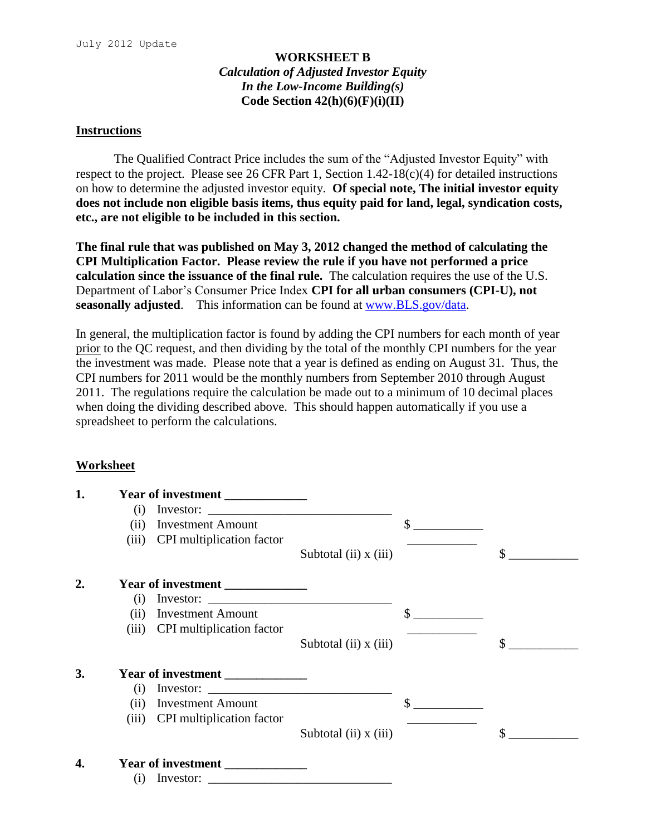## **WORKSHEET B** *Calculation of Adjusted Investor Equity In the Low-Income Building(s)* **Code Section 42(h)(6)(F)(i)(II)**

#### **Instructions**

The Qualified Contract Price includes the sum of the "Adjusted Investor Equity" with respect to the project. Please see 26 CFR Part 1, Section 1.42-18(c)(4) for detailed instructions on how to determine the adjusted investor equity. **Of special note, The initial investor equity does not include non eligible basis items, thus equity paid for land, legal, syndication costs, etc., are not eligible to be included in this section.** 

**The final rule that was published on May 3, 2012 changed the method of calculating the CPI Multiplication Factor. Please review the rule if you have not performed a price calculation since the issuance of the final rule.** The calculation requires the use of the U.S. Department of Labor's Consumer Price Index **CPI for all urban consumers (CPI-U), not seasonally adjusted**. This information can be found at [www.BLS.gov/data.](http://www.bls.gov/data)

In general, the multiplication factor is found by adding the CPI numbers for each month of year prior to the QC request, and then dividing by the total of the monthly CPI numbers for the year the investment was made. Please note that a year is defined as ending on August 31. Thus, the CPI numbers for 2011 would be the monthly numbers from September 2010 through August 2011. The regulations require the calculation be made out to a minimum of 10 decimal places when doing the dividing described above. This should happen automatically if you use a spreadsheet to perform the calculations.

## **Worksheet**

| 1.               |     | Year of investment              |                                                                                                                                                                                                                                                                                                                                                                                                                                                  |    |
|------------------|-----|---------------------------------|--------------------------------------------------------------------------------------------------------------------------------------------------------------------------------------------------------------------------------------------------------------------------------------------------------------------------------------------------------------------------------------------------------------------------------------------------|----|
|                  | (i) |                                 |                                                                                                                                                                                                                                                                                                                                                                                                                                                  |    |
|                  |     | (ii) Investment Amount          |                                                                                                                                                                                                                                                                                                                                                                                                                                                  | \$ |
|                  |     | (iii) CPI multiplication factor |                                                                                                                                                                                                                                                                                                                                                                                                                                                  |    |
|                  |     |                                 | Subtotal $(ii)$ x $(iii)$                                                                                                                                                                                                                                                                                                                                                                                                                        | \$ |
| $\overline{2}$ . |     | Year of investment              |                                                                                                                                                                                                                                                                                                                                                                                                                                                  |    |
|                  | (i) |                                 |                                                                                                                                                                                                                                                                                                                                                                                                                                                  |    |
|                  |     | (ii) Investment Amount          |                                                                                                                                                                                                                                                                                                                                                                                                                                                  |    |
|                  |     | (iii) CPI multiplication factor |                                                                                                                                                                                                                                                                                                                                                                                                                                                  |    |
|                  |     |                                 | Subtotal $(ii)$ x $(iii)$                                                                                                                                                                                                                                                                                                                                                                                                                        | \$ |
| 3.               |     | Year of investment              |                                                                                                                                                                                                                                                                                                                                                                                                                                                  |    |
|                  | (i) |                                 |                                                                                                                                                                                                                                                                                                                                                                                                                                                  |    |
|                  |     | (ii) Investment Amount          |                                                                                                                                                                                                                                                                                                                                                                                                                                                  |    |
|                  |     | (iii) CPI multiplication factor |                                                                                                                                                                                                                                                                                                                                                                                                                                                  |    |
|                  |     |                                 | Subtotal $(ii)$ x $(iii)$                                                                                                                                                                                                                                                                                                                                                                                                                        | \$ |
| 4.               |     | Year of investment              |                                                                                                                                                                                                                                                                                                                                                                                                                                                  |    |
|                  | (i) |                                 | Investor: $\frac{1}{\sqrt{1-\frac{1}{2}} \cdot \frac{1}{2} \cdot \frac{1}{2} \cdot \frac{1}{2} \cdot \frac{1}{2} \cdot \frac{1}{2} \cdot \frac{1}{2} \cdot \frac{1}{2} \cdot \frac{1}{2} \cdot \frac{1}{2} \cdot \frac{1}{2} \cdot \frac{1}{2} \cdot \frac{1}{2} \cdot \frac{1}{2} \cdot \frac{1}{2} \cdot \frac{1}{2} \cdot \frac{1}{2} \cdot \frac{1}{2} \cdot \frac{1}{2} \cdot \frac{1}{2} \cdot \frac{1}{2} \cdot \frac{1}{2} \cdot \frac{$ |    |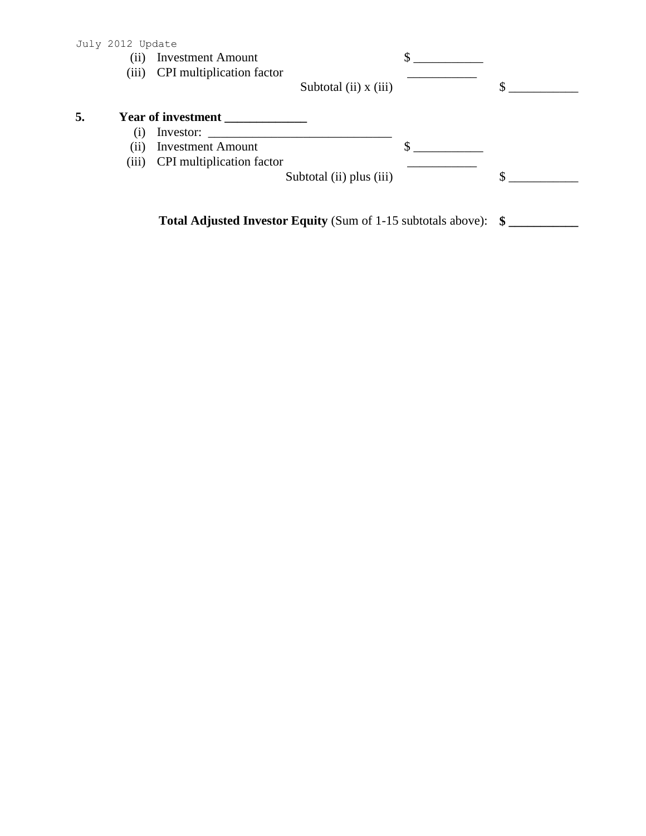|    | July 2012 Update |                                  |                           |   |
|----|------------------|----------------------------------|---------------------------|---|
|    | (i)              | <b>Investment Amount</b>         |                           |   |
|    |                  | (iii) CPI multiplication factor  |                           |   |
|    |                  |                                  | Subtotal $(ii)$ x $(iii)$ |   |
| 5. |                  | <b>Year of investment</b>        |                           |   |
|    | (1)              | Investor:                        |                           |   |
|    | (ii)             | <b>Investment Amount</b>         |                           |   |
|    | (iii)            | <b>CPI</b> multiplication factor |                           |   |
|    |                  |                                  | Subtotal (ii) plus (iii)  | ¢ |
|    |                  |                                  |                           |   |
|    |                  |                                  |                           |   |

**Total Adjusted Investor Equity** (Sum of 1-15 subtotals above): **\$ \_\_\_\_\_\_\_\_\_\_\_**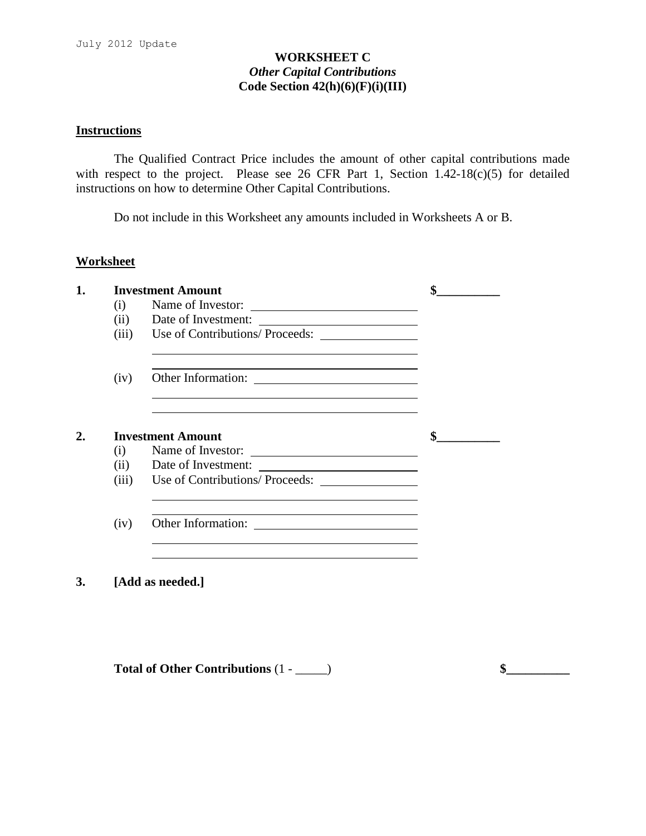## **WORKSHEET C** *Other Capital Contributions* **Code Section 42(h)(6)(F)(i)(III)**

## **Instructions**

The Qualified Contract Price includes the amount of other capital contributions made with respect to the project. Please see 26 CFR Part 1, Section 1.42-18(c)(5) for detailed instructions on how to determine Other Capital Contributions.

Do not include in this Worksheet any amounts included in Worksheets A or B.

## **Worksheet**

| 1. |       | <b>Investment Amount</b>                                                                                                                                                                                                      |  |
|----|-------|-------------------------------------------------------------------------------------------------------------------------------------------------------------------------------------------------------------------------------|--|
|    | (i)   | Name of Investor:                                                                                                                                                                                                             |  |
|    | (ii)  |                                                                                                                                                                                                                               |  |
|    | (iii) | Use of Contributions/ Proceeds:                                                                                                                                                                                               |  |
|    | (iv)  |                                                                                                                                                                                                                               |  |
| 2. | (i)   | <b>Investment Amount</b><br>Name of Investor:                                                                                                                                                                                 |  |
|    | (ii)  | Date of Investment:                                                                                                                                                                                                           |  |
|    | (iii) |                                                                                                                                                                                                                               |  |
|    | (iv)  | the control of the control of the control of the control of the control of the control of the control of the control of the control of the control of the control of the control of the control of the control of the control |  |
|    |       |                                                                                                                                                                                                                               |  |
| 3. |       | [Add as needed.]                                                                                                                                                                                                              |  |

**Total of Other Contributions** (1 - \_\_\_\_\_) **\$\_\_\_\_\_\_\_\_\_\_**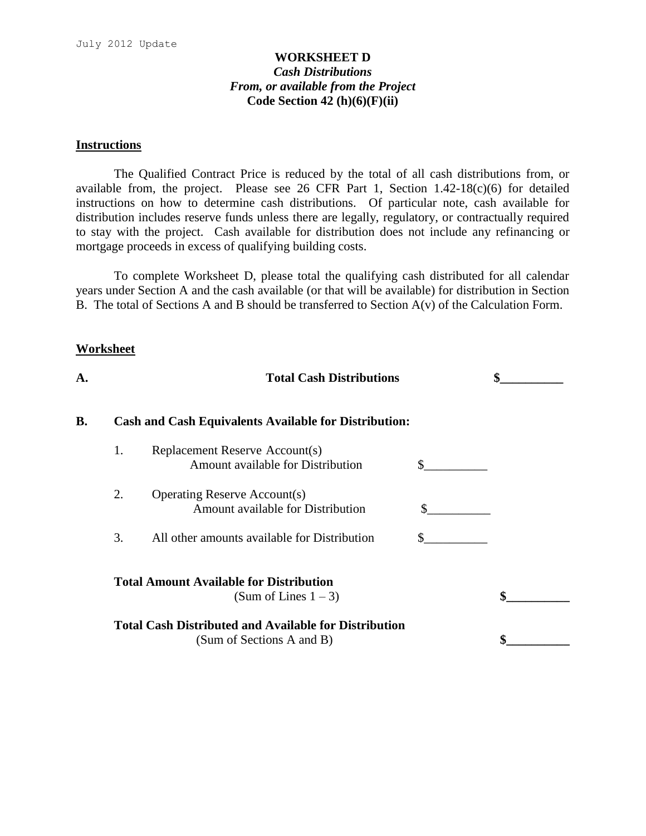## **WORKSHEET D** *Cash Distributions From, or available from the Project* **Code Section 42 (h)(6)(F)(ii)**

#### **Instructions**

The Qualified Contract Price is reduced by the total of all cash distributions from, or available from, the project. Please see 26 CFR Part 1, Section  $1.42-18(c)(6)$  for detailed instructions on how to determine cash distributions. Of particular note, cash available for distribution includes reserve funds unless there are legally, regulatory, or contractually required to stay with the project. Cash available for distribution does not include any refinancing or mortgage proceeds in excess of qualifying building costs.

To complete Worksheet D, please total the qualifying cash distributed for all calendar years under Section A and the cash available (or that will be available) for distribution in Section B. The total of Sections A and B should be transferred to Section A(v) of the Calculation Form.

#### **Worksheet**

| А. |    | <b>Total Cash Distributions</b>                                                           |    |  |
|----|----|-------------------------------------------------------------------------------------------|----|--|
| B. |    | <b>Cash and Cash Equivalents Available for Distribution:</b>                              |    |  |
|    | 1. | Replacement Reserve Account(s)<br>Amount available for Distribution                       | S. |  |
|    | 2. | <b>Operating Reserve Account(s)</b><br>Amount available for Distribution                  | S. |  |
|    | 3. | All other amounts available for Distribution                                              |    |  |
|    |    | <b>Total Amount Available for Distribution</b><br>(Sum of Lines $1 - 3$ )                 |    |  |
|    |    | <b>Total Cash Distributed and Available for Distribution</b><br>(Sum of Sections A and B) |    |  |